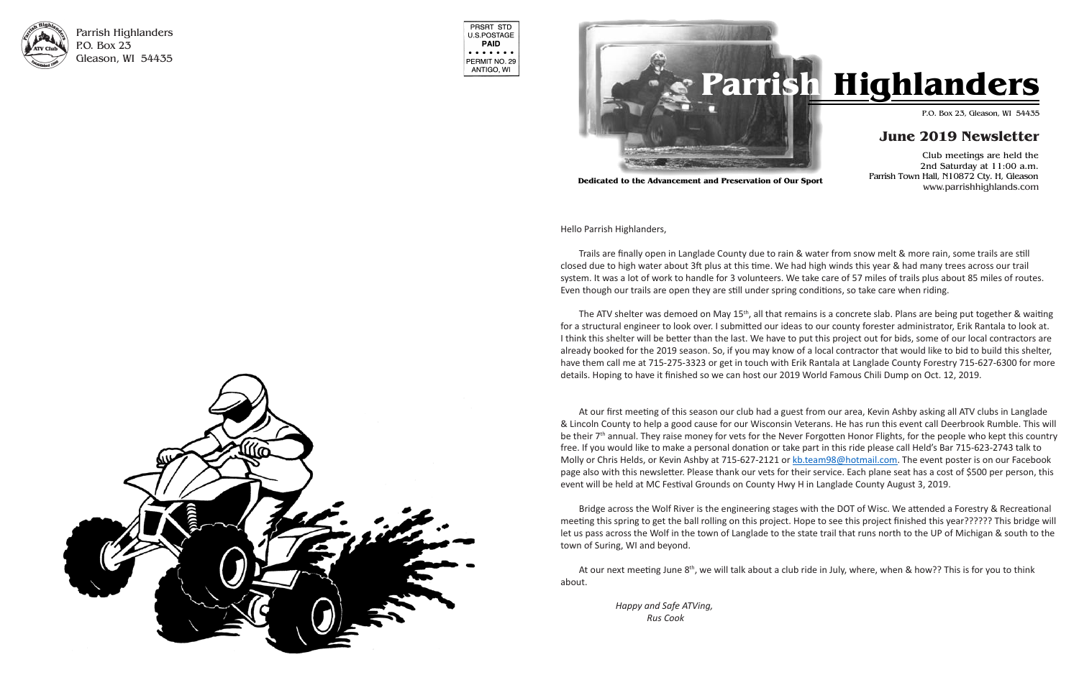

Parrish Highlanders P.O. Box 23 Gleason, WI 54435

| PRSRT STD<br><b>U.S.POSTAGE</b><br>PAID                                                                 |
|---------------------------------------------------------------------------------------------------------|
| $\bullet\hspace{0.4mm}\bullet\hspace{0.4mm}\bullet\hspace{0.4mm}\bullet$<br>PERMIT NO. 29<br>ANTIGO, WI |

Parrish Town Hall, N10872 Cty. H, Gleason www.parrishhighlands.com

Hello Parrish Highlanders, Hello Parrish Highlanders,

Trails are finally open in Langlade County due to rain & water from snow melt & more rain, some trails are still closed due to high water about 3ft plus at this time. We had high winds this year & had many trees across our trail system. It was a lot of work to handle for 3 volunteers. We take care of 57 miles of trails plus about 85 miles of routes. Even though our trails are open they are still under spring conditions, so take care when riding.

The ATV shelter was demoed on May 15<sup>th</sup>, all that remains is a concrete slab. Plans are being put together & waiting for a structural engineer to look over. I submitted our ideas to our county forester administrator, Erik Rantala to look at. I think this shelter will be better than the last. We have to put this project out for bids, some of our local contractors are already booked for the 2019 season. So, if you may know of a local contractor that would like to bid to build this shelter,<br>All the contract of the 2019 season. So, if you may know of a local contractor that would like to use in tail the at 713-273-3323 or get in touth with L details. Hoping to have it finished so we can host our 2019 World Famous Chili Dump on Oct. 12, 2019. have them call me at 715-275-3323 or get in touch with Erik Rantala at Langlade County Forestry 715-627-6300 for more

At our first meeting of this season our club had a guest from our area, Kevin Ashby asking all ATV clubs in Langlade & Lincoln County to help a good cause for our Wisconsin Veterans. He has run this event call Deerbrook Rumble. This will be their 7<sup>th</sup> annual. They raise money for vets for the Never Forgotten Honor Flights, for the people who kept this country free. If you would like to make a personal donation or take part in this ride please call Held's Bar 715-623-2743 talk to Molly or Chris Helds, or Kevin Ashby at 715-627-2121 or **kb.team98@hotmail.com</u>. The event poster is on our Facebook** page also with this newsletter. Please thank our vets for their service. Each plane seat has a cost of \$500 per person, this event will be held at MC Festival Grounds on County Hwy H in Langlade County August 3, 2019.



**Dedicated to the Advancement and Preservation of Our Sport**

 $t$  this trail and help sign it with the help of  $W$ Bridge across the Wolf River is the engineering stages with the DOT of Wisc. We attended a Forestry & Recreational 715-275-3323 and leave a message if there is let us pass across the Wolf in the town of Langlade to the state trail that runs north to the UP of Michigan & south to the not as pass across the trom in the total of Early.cae<br>town of Suring, WI and beyond.  $S<sub>0</sub>$  is well open mid-October. Hopefully it will open mid-October. Hopefully it will open mid-October. meeting this spring to get the ball rolling on this project. Hope to see this project finished this year?????? This bridge will

Our Mole Lake appreciation ride on September At our next meeting June 8<sup>th</sup>, we will talk about a club ride in July, where, when & how?? This is for you to think about.

Happy and Safe ATVing,  $Rus \ Cook$